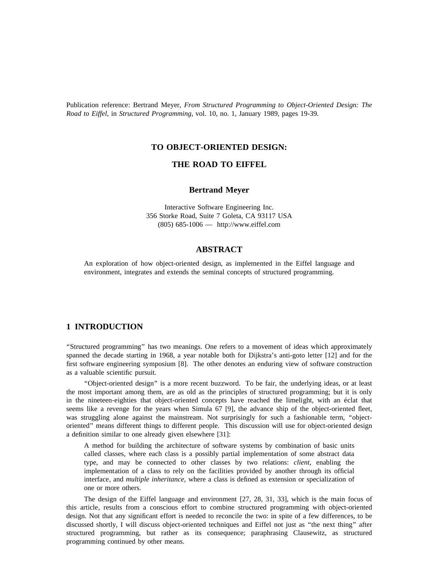Publication reference: Bertrand Meyer, *From Structured Programming to Object-Oriented Design: The Road to Eiffel*, in *Structured Programming*, vol. 10, no. 1, January 1989, pages 19-39.

### **TO OBJECT-ORIENTED DESIGN:**

## **THE ROAD TO EIFFEL**

### **Bertrand Meyer**

. Interactive Software Engineering Inc 3 56 Storke Road, Suite 7 Goleta, CA 93117 USA (805) 685-1006 — http://www.eiffel.com

# **ABSTRACT**

An exploration of how object-oriented design, as implemented in the Eiffel language and e nvironment, integrates and extends the seminal concepts of structured programming.

# **1 INTRODUCTION**

' 'Structured programming'' has two meanings. One refers to a movement of ideas which approximately spanned the decade starting in 1968, a year notable both for Dijkstra's anti-goto letter [12] and for the first software engineering symposium [8]. The other denotes an enduring view of software construction as a valuable scientific pursuit.

''Object-oriented design'' is a more recent buzzword. To be fair, the underlying ideas, or at least in the nineteen-eighties that object-oriented concepts have reached the limelight, with an éclat that the most important among them, are as old as the principles of structured programming; but it is only seems like a revenge for the years when Simula 67 [9], the advance ship of the object-oriented fleet, w as struggling alone against the mainstream. Not surprisingly for such a fashionable term, ''objecta definition similar to one already given elsewhere [31]: oriented'' means different things to different people. This discussion will use for object-oriented design

A method for building the architecture of software systems by combination of basic units c alled classes, where each class is a possibly partial implementation of some abstract data type, and may be connected to other classes by two relations: *client*, enabling the i mplementation of a class to rely on the facilities provided by another through its official o ne or more others. interface, and *multiple inheritance*, where a class is defined as extension or specialization of

The design of the Eiffel language and environment [27, 28, 31, 33], which is the main focus of d esign. Not that any significant effort is needed to reconcile the two: in spite of a few differences, to be this article, results from a conscious effort to combine structured programming with object-oriented discussed shortly, I will discuss object-oriented techniques and Eiffel not just as "the next thing" after s tructured programming, but rather as its consequence; paraphrasing Clausewitz, as structured programming continued by other means.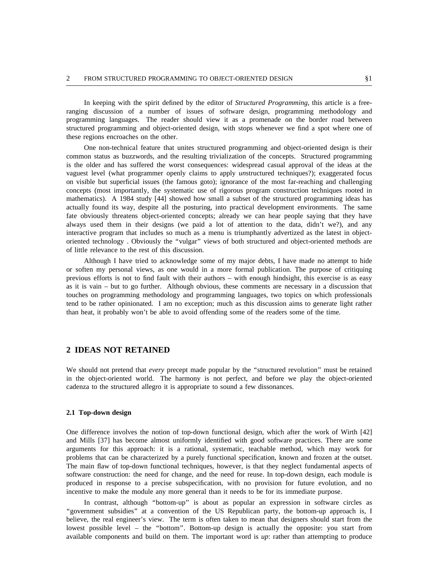r anging discussion of a number of issues of software design, programming methodology and In keeping with the spirit defined by the editor of *Structured Programming*, this article is a freeprogramming languages. The reader should view it as a promenade on the border road between s tructured programming and object-oriented design, with stops whenever we find a spot where one of these regions encroaches on the other.

One non-technical feature that unites structured programming and object-oriented design is their i s the older and has suffered the worst consequences: widespread casual approval of the ideas at the common status as buzzwords, and the resulting trivialization of the concepts. Structured programming vaguest level (what programmer openly claims to apply *unstructured techniques?)*; exaggerated focus o n visible but superficial issues (the famous goto); ignorance of the most far-reaching and challenging concepts (most importantly, the systematic use of rigorous program construction techniques rooted in m athematics). A 1984 study [44] showed how small a subset of the structured programming ideas has f ate obviously threatens object-oriented concepts; already we can hear people saying that they have actually found its way, despite all the posturing, into practical development environments. The same i nteractive program that includes so much as a menu is triumphantly advertized as the latest in objectalways used them in their designs (we paid a lot of attention to the data, didn't we?), and any o f little relevance to the rest of this discussion. oriented technology . Obviously the ''vulgar'' views of both structured and object-oriented methods are

Although I have tried to acknowledge some of my major debts, I have made no attempt to hide p revious efforts is not to find fault with their authors – with enough hindsight, this exercise is as easy or soften my personal views, as one would in a more formal publication. The purpose of critiquing as it is vain – but to go further. Although obvious, these comments are necessary in a discussion that t ouches on programming methodology and programming languages, two topics on which professionals tend to be rather opinionated. I am no exception; much as this discussion aims to generate light rather t han heat, it probably won't be able to avoid offending some of the readers some of the time.

## **2 IDEAS NOT RETAINED**

We should not pretend that *every* precept made popular by the "structured revolution" must be retained in the object-oriented world. The harmony is not perfect, and before we play the object-oriented c adenza to the structured allegro it is appropriate to sound a few dissonances.

### **2.1 Top-down design**

O ne difference involves the notion of top-down functional design, which after the work of Wirth [42] a rguments for this approach: it is a rational, systematic, teachable method, which may work for and Mills [37] has become almost uniformly identified with good software practices. There are some . problems that can be characterized by a purely functional specification, known and frozen at the outset T he main flaw of top-down functional techniques, however, is that they neglect fundamental aspects of p roduced in response to a precise subspecification, with no provision for future evolution, and no software construction: the need for change, and the need for reuse. In top-down design, each module is incentive to make the module any more general than it needs to be for its immediate purpose.

In contrast, although ''bottom-up'' is about as popular an expression in software circles as "government subsidies" at a convention of the US Republican party, the bottom-up approach is, I b elieve, the real engineer's view. The term is often taken to mean that designers should start from the a vailable components and build on them. The important word is *up*: rather than attempting to producelowest possible level – the ''bottom''. Bottom-up design is actually the opposite: you start from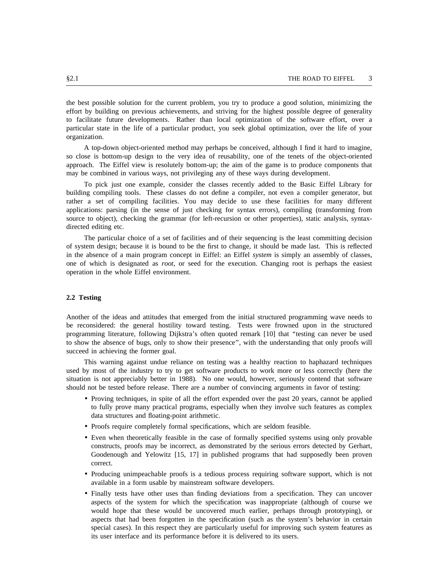the best possible solution for the current problem, you try to produce a good solution, minimizing the t o facilitate future developments. Rather than local optimization of the software effort, over a effort by building on previous achievements, and striving for the highest possible degree of generality particular state in the life of a particular product, you seek global optimization, over the life of your o rganization.

A top-down object-oriented method may perhaps be conceived, although I find it hard to imagine, a pproach. The Eiffel view is resolutely bottom-up; the aim of the game is to produce components that so close is bottom-up design to the very idea of reusability, one of the tenets of the object-oriented may be combined in various ways, not privileging any of these ways during development.

To pick just one example, consider the classes recently added to the Basic Eiffel Library for building compiling tools. These classes do not define a compiler, not even a compiler generator, but r ather a set of compiling facilities. You may decide to use these facilities for many different source to object), checking the grammar (for left-recursion or other properties), static analysis, syntaxapplications: parsing (in the sense of just checking for syntax errors), compiling (transforming from directed editing etc.

The particular choice of a set of facilities and of their sequencing is the least committing decision of system design; because it is bound to be the first to change, it should be made last. This is reflected i n the absence of a main program concept in Eiffel: an Eiffel *system* is simply an assembly of classes, o peration in the whole Eiffel environment. one of which is designated as *root*, or seed for the execution. Changing root is perhaps the easiest

### **2.2 Testing**

A nother of the ideas and attitudes that emerged from the initial structured programming wave needs to be reconsidered: the general hostility toward testing. Tests were frowned upon in the structured p rogramming literature, following Dijkstra's often quoted remark [10] that ''testing can never be used to show the absence of bugs, only to show their presence", with the understanding that only proofs will s ucceed in achieving the former goal.

This warning against undue reliance on testing was a healthy reaction to haphazard techniques s ituation is not appreciably better in 1988). No one would, however, seriously contend that software used by most of the industry to try to get software products to work more or less correctly (here the should not be tested before release. There are a number of convincing arguments in favor of testing:

- Proving techniques, in spite of all the effort expended over the past 20 years, cannot be applied to fully prove many practical programs, especially when they involve such features as complex d ata structures and floating-point arithmetic.
- Proofs require completely formal specifications, which are seldom feasible.
- Even when theoretically feasible in the case of formally specified systems using only provable , constructs, proofs may be incorrect, as demonstrated by the serious errors detected by Gerhart G oodenough and Yelowitz [15, 17] in published programs that had supposedly been proven correct.
- Producing unimpeachable proofs is a tedious process requiring software support, which is not available in a form usable by mainstream software developers.
- Finally tests have other uses than finding deviations from a specification. They can uncover w ould hope that these would be uncovered much earlier, perhaps through prototyping), or aspects of the system for which the specification was inappropriate (although of course we s pecial cases). In this respect they are particularly useful for improving such system features as aspects that had been forgotten in the specification (such as the system's behavior in certain its user interface and its performance before it is delivered to its users.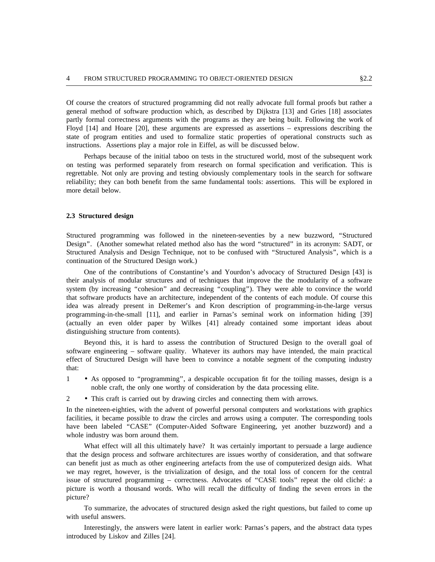g eneral method of software production which, as described by Dijkstra [13] and Gries [18] associates Of course the creators of structured programming did not really advocate full formal proofs but rather a partly formal correctness arguments with the programs as they are being built. Following the work of F loyd [14] and Hoare [20], these arguments are expressed as assertions – expressions describing the s state of program entities and used to formalize static properties of operational constructs such a i nstructions. Assertions play a major role in Eiffel, as will be discussed below.

Perhaps because of the initial taboo on tests in the structured world, most of the subsequent work o n testing was performed separately from research on formal specification and verification. This is r eliability; they can both benefit from the same fundamental tools: assertions. This will be explored in regrettable. Not only are proving and testing obviously complementary tools in the search for software more detail below.

#### **2 .3 Structured design**

Structured programming was followed in the nineteen-seventies by a new buzzword, ''Structured Design". (Another somewhat related method also has the word "structured" in its acronym: SADT, or S tructured Analysis and Design Technique, not to be confused with ''Structured Analysis'', which is a continuation of the Structured Design work.)

One of the contributions of Constantine's and Yourdon's advocacy of Structured Design [43] is s ystem (by increasing ''cohesion'' and decreasing ''coupling''). They were able to convince the world their analysis of modular structures and of techniques that improve the the modularity of a software that software products have an architecture, independent of the contents of each module. Of course this i dea was already present in DeRemer's and Kron description of programming-in-the-large versus programming-in-the-small [11], and earlier in Parnas's seminal work on information hiding [39] ( actually an even older paper by Wilkes [41] already contained some important ideas about distinguishing structure from contents).

Beyond this, it is hard to assess the contribution of Structured Design to the overall goal of software engineering – software quality. Whatever its authors may have intended, the main practical e ffect of Structured Design will have been to convince a notable segment of the computing industry that:

- 1 • As opposed to "programming", a despicable occupation fit for the toiling masses, design is a noble craft, the only one worthy of consideration by the data processing elite.
- 2 • This craft is carried out by drawing circles and connecting them with arrows.

In the nineteen-eighties, with the advent of powerful personal computers and workstations with graphics facilities, it became possible to draw the circles and arrows using a computer. The corresponding tools w hole industry was born around them. have been labeled "CASE" (Computer-Aided Software Engineering, yet another buzzword) and a

What effect will all this ultimately have? It was certainly important to persuade a large audience that the design process and software architectures are issues worthy of consideration, and that software c an benefit just as much as other engineering artefacts from the use of computerized design aids. What we may regret, however, is the trivialization of design, and the total loss of concern for the central issue of structured programming – correctness. Advocates of "CASE tools" repeat the old cliché: a picture is worth a thousand words. Who will recall the difficulty of finding the seven errors in the p icture?

To summarize, the advocates of structured design asked the right questions, but failed to come up with useful answers.

Interestingly, the answers were latent in earlier work: Parnas's papers, and the abstract data types introduced by Liskov and Zilles [24].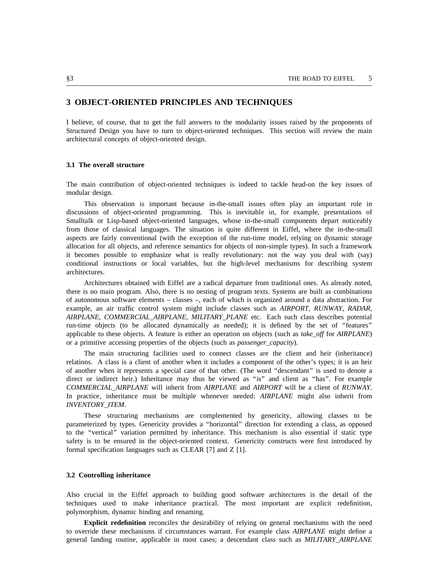# **3 OBJECT-ORIENTED PRINCIPLES AND TECHNIQUES**

f I believe, of course, that to get the full answers to the modularity issues raised by the proponents o S tructured Design you have to turn to object-oriented techniques. This section will review the main architectural concepts of object-oriented design.

#### **3 .1 The overall structure**

The main contribution of object-oriented techniques is indeed to tackle head-on the key issues of modular design.

This observation is important because in-the-small issues often play an important role in discussions of object-oriented programming. This is inevitable in, for example, presentations of S malltalk or Lisp-based object-oriented languages, whose in-the-small components depart noticeably from those of classical languages. The situation is quite different in Eiffel, where the in-the-small a spects are fairly conventional (with the exception of the run-time model, relying on dynamic storage i t becomes possible to emphasize what is really revolutionary: not the way you deal with (say) allocation for all objects, and reference semantics for objects of non-simple types). In such a framework a rchitectures. conditional instructions or local variables, but the high-level mechanisms for describing system

Architectures obtained with Eiffel are a radical departure from traditional ones. As already noted, o f autonomous software elements – classes –, each of which is organized around a data abstraction. For there is no main program. Also, there is no nesting of program texts. Systems are built as combinations , example, an air traffic control system might include classes such as *AIRPORT, RUNWAY*, *RADAR A IRPLANE, COMMERCIAL*\_*AIRPLANE, MILITARY*\_*PLANE* etc. Each such class describes potential a pplicable to these objects. A feature is either an operation on objects (such as *take*\_*off* for *AIRPLANE*) run-time objects (to be allocated dynamically as needed); it is defined by the set of ''features'' or a primitive accessing properties of the objects (such as *passenger*\_*capacity*).

The main structuring facilities used to connect classes are the client and heir (inheritance) relations. A class is a client of another when it includes a component of the other's types; it is an heir o f another when it represents a special case of that other. (The word ''descendant'' is used to denote a direct or indirect heir.) Inheritance may thus be viewed as "is" and client as "has". For example *C OMMERCIAL*\_*AIRPLANE* will inherit from *AIRPLANE* and *AIRPORT* will be a client of *RUNWAY*. *I NVENTORY*\_*ITEM*. In practice, inheritance must be multiple whenever needed: *AIRPLANE* might also inherit from

These structuring mechanisms are complemented by genericity, allowing classes to be t o the ''vertical'' variation permitted by inheritance. This mechanism is also essential if static type parameterized by types. Genericity provides a ''horizontal'' direction for extending a class, as opposed f ormal specification languages such as CLEAR [7] and Z [1]. safety is to be ensured in the object-oriented context. Genericity constructs were first introduced by

### **3.2 Controlling inheritance**

A lso crucial in the Eiffel approach to building good software architectures is the detail of the , techniques used to make inheritance practical. The most important are explicit redefinition p olymorphism, dynamic binding and renaming.

**Explicit redefinition** reconciles the desirability of relying on general mechanisms with the need to override these mechanisms if circumstances warrant. For example class *AIRPLANE* might define a g eneral landing routine, applicable in most cases; a descendant class such as *MILITARY*\_*AIRPLANE*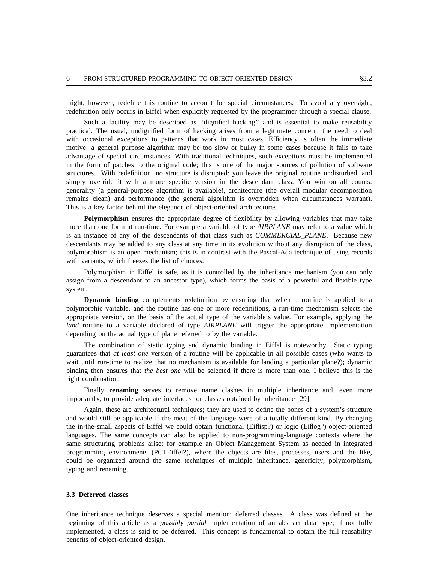might, however, redefine this routine to account for special circumstances. To avoid any oversight, redefinition only occurs in Eiffel when explicitly requested by the programmer through a special clause.

Such a facility may be described as ''dignified hacking'' and is essential to make reusability practical. The usual, undignified form of hacking arises from a legitimate concern: the need to deal w ith occasional exceptions to patterns that work in most cases. Efficiency is often the immediate motive: a general purpose algorithm may be too slow or bulky in some cases because it fails to take a dvantage of special circumstances. With traditional techniques, such exceptions must be implemented in the form of patches to the original code; this is one of the major sources of pollution of software s tructures. With redefinition, no structure is disrupted: you leave the original routine undisturbed, and simply override it with a more specific version in the descendant class. You win on all counts: g enerality (a general-purpose algorithm is available), architecture (the overall modular decomposition . remains clean) and performance (the general algorithm is overridden when circumstances warrant) T his is a key factor behind the elegance of object-oriented architectures.

Polymorphism ensures the appropriate degree of flexibility by allowing variables that may take m ore than one form at run-time. For example a variable of type *AIRPLANE* may refer to a value which d escendants may be added to any class at any time in its evolution without any disruption of the class, is an instance of any of the descendants of that class such as *COMMERCIAL*\_*PLANE*. Because new w ith variants, which freezes the list of choices. polymorphism is an open mechanism; this is in contrast with the Pascal-Ada technique of using records

Polymorphism in Eiffel is safe, as it is controlled by the inheritance mechanism (you can only assign from a descendant to an ancestor type), which forms the basis of a powerful and flexible type s ystem.

**Dynamic binding** complements redefinition by ensuring that when a routine is applied to a polymorphic variable, and the routine has one or more redefinitions, a run-time mechanism selects the a ppropriate version, on the basis of the actual type of the variable's value. For example, applying the d epending on the actual type of plane referred to by the variable. *land* routine to a variable declared of type *AIRPLANE* will trigger the appropriate implementation

The combination of static typing and dynamic binding in Eiffel is noteworthy. Static typing g uarantees that *at least one* version of a routine will be applicable in all possible cases (who wants to wait until run-time to realize that no mechanism is available for landing a particular plane?); dynamic b inding then ensures that *the best one* will be selected if there is more than one. I believe this is the right combination.

Finally **renaming** serves to remove name clashes in multiple inheritance and, even more importantly, to provide adequate interfaces for classes obtained by inheritance [29].

Again, these are architectural techniques; they are used to define the bones of a system's structure t he in-the-small aspects of Eiffel we could obtain functional (Eiflisp?) or logic (Eiflog?) object-oriented and would still be applicable if the meat of the language were of a totally different kind. By changing languages. The same concepts can also be applied to non-programming-language contexts where the s ame structuring problems arise: for example an Object Management System as needed in integrated , programming environments (PCTEiffel?), where the objects are files, processes, users and the like c ould be organized around the same techniques of multiple inheritance, genericity, polymorphism, typing and renaming.

#### **3 .3 Deferred classes**

One inheritance technique deserves a special mention: deferred classes. A class was defined at the i mplemented, a class is said to be deferred. This concept is fundamental to obtain the full reusability beginning of this article as a *possibly partial* implementation of an abstract data type; if not fully benefits of object-oriented design.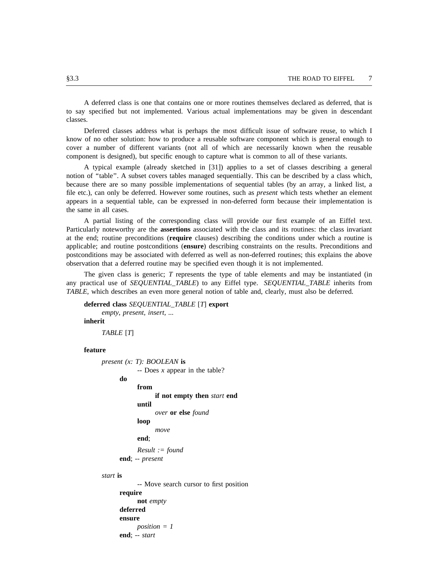A deferred class is one that contains one or more routines themselves declared as deferred, that is t to say specified but not implemented. Various actual implementations may be given in descendan c lasses.

Deferred classes address what is perhaps the most difficult issue of software reuse, to which I c over a number of different variants (not all of which are necessarily known when the reusable know of no other solution: how to produce a reusable software component which is general enough to component is designed), but specific enough to capture what is common to all of these variants.

A typical example (already sketched in [31]) applies to a set of classes describing a general notion of "table". A subset covers tables managed sequentially. This can be described by a class which, b ecause there are so many possible implementations of sequential tables (by an array, a linked list, a file etc.), can only be deferred. However some routines, such as *present* which tests whether an element a ppears in a sequential table, can be expressed in non-deferred form because their implementation is the same in all cases.

A partial listing of the corresponding class will provide our first example of an Eiffel text. a t the end; routine preconditions (**require** clauses) describing the conditions under which a routine is Particularly noteworthy are the **assertions** associated with the class and its routines: the class invariant p ostconditions may be associated with deferred as well as non-deferred routines; this explains the above applicable; and routine postconditions (**ensure**) describing constraints on the results. Preconditions and observation that a deferred routine may be specified even though it is not implemented.

The given class is generic; *T* represents the type of table elements and may be instantiated (in *T ABLE*, which describes an even more general notion of table and, clearly, must also be deferred. any practical use of *SEQUENTIAL*\_*TABLE*) to any Eiffel type. *SEQUENTIAL*\_*TABLE* inherits from

```
deferred class SEQUENTIAL_TABLE [T] export
     empty, present, insert, ...
inherit
     TABLE [T]
```
#### **feature**

*present (x: T): BOOLEAN* **is** ? -- Does *x* appear in the table **do from if not empty then** *start* **end until** *over* **or else** *found* **loop** *move R esult := found* **end**; **end**; -- *present*

## *start* **is**

-- Move search cursor to first position **require not** *empty* **e nsure deferred** *position = 1* **end**; -- *start*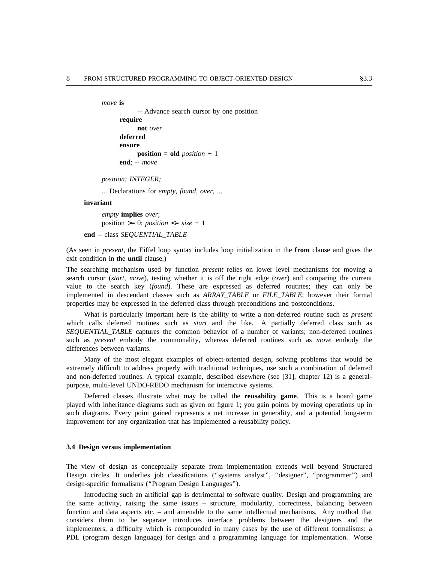```
move is
```
-- Advance search cursor by one position **require not** *over* **e nsure deferred position = old** *position +* 1 **end**; -- *move*

*p osition: INTEGER;*

*...* Declarations for *empty, found, over,* ...

#### **invariant**

*empty* **implies** *over*; position  $\geq 0$ ; *position*  $\leq$  *size* + 1

**e nd** -- class *SEQUENTIAL*\_*TABLE*

(As seen in *present*, the Eiffel loop syntax includes loop initialization in the **from** clause and gives the exit condition in the **until** clause.)

T he searching mechanism used by function *present* relies on lower level mechanisms for moving a search cursor (*start, move*), testing whether it is off the right edge (*over*) and comparing the current v alue to the search key (*found*). These are expressed as deferred routines; they can only be implemented in descendant classes such as *ARRAY\_TABLE* or *FILE\_TABLE*; however their formal p roperties may be expressed in the deferred class through preconditions and postconditions.

What is particularly important here is the ability to write a non-deferred routine such as *present* w hich calls deferred routines such as *start* and the like. A partially deferred class such as s *SEQUENTIAL*\_*TABLE* captures the common behavior of a number of variants; non-deferred routine s uch as *present* embody the commonality, whereas deferred routines such as *move* embody the differences between variants.

Many of the most elegant examples of object-oriented design, solving problems that would be a nd non-deferred routines. A typical example, described elsewhere (see [31], chapter 12) is a generalextremely difficult to address properly with traditional techniques, use such a combination of deferred purpose, multi-level UNDO-REDO mechanism for interactive systems.

Deferred classes illustrate what may be called the **reusability game**. This is a board game s uch diagrams. Every point gained represents a net increase in generality, and a potential long-term played with inheritance diagrams such as given on figure 1; you gain points by moving operations up in improvement for any organization that has implemented a reusability policy.

#### **3 .4 Design versus implementation**

The view of design as conceptually separate from implementation extends well beyond Structured Design circles. It underlies job classifications ("systems analyst", "designer", "programmer") and d esign-specific formalisms (''Program Design Languages'').

Introducing such an artificial gap is detrimental to software quality. Design and programming are t he same activity, raising the same issues – structure, modularity, correctness, balancing between function and data aspects etc. – and amenable to the same intellectual mechanisms. Any method that c onsiders them to be separate introduces interface problems between the designers and the implementers, a difficulty which is compounded in many cases by the use of different formalisms: a P DL (program design language) for design and a programming language for implementation. Worse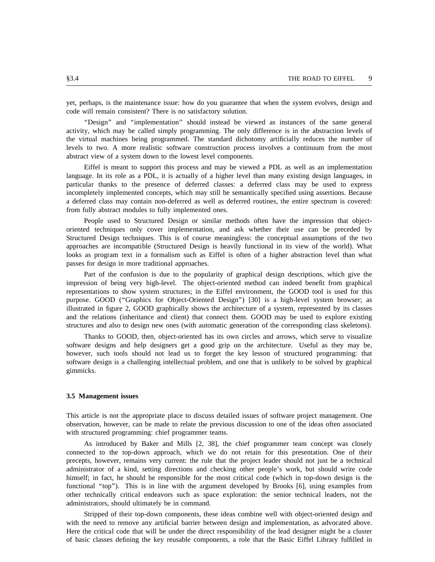yet, perhaps, is the maintenance issue: how do you guarantee that when the system evolves, design and code will remain consistent? There is no satisfactory solution.

''Design'' and ''implementation'' should instead be viewed as instances of the same general t he virtual machines being programmed. The standard dichotomy artificially reduces the number of activity, which may be called simply programming. The only difference is in the abstraction levels of levels to two. A more realistic software construction process involves a continuum from the most a bstract view of a system down to the lowest level components.

Eiffel is meant to support this process and may be viewed a PDL as well as an implementation language. In its role as a PDL, it is actually of a higher level than many existing design languages, in particular thanks to the presence of deferred classes: a deferred class may be used to express i ncompletely implemented concepts, which may still be semantically specified using assertions. Because a deferred class may contain non-deferred as well as deferred routines, the entire spectrum is covered: f rom fully abstract modules to fully implemented ones.

People used to Structured Design or similar methods often have the impression that object-S tructured Design techniques. This is of course meaningless: the conceptual assumptions of the two oriented techniques only cover implementation, and ask whether their use can be preceded by approaches are incompatible (Structured Design is heavily functional in its view of the world). What l ooks as program text in a formalism such as Eiffel is often of a higher abstraction level than what passes for design in more traditional approaches.

Part of the confusion is due to the popularity of graphical design descriptions, which give the impression of being very high-level. The object-oriented method can indeed benefit from graphical r epresentations to show system structures; in the Eiffel environment, the GOOD tool is used for this purpose. GOOD ("Graphics for Object-Oriented Design") [30] is a high-level system browser; as i llustrated in figure 2, GOOD graphically shows the architecture of a system, represented by its classes s tructures and also to design new ones (with automatic generation of the corresponding class skeletons). and the relations (inheritance and client) that connect them. GOOD may be used to explore existing

s oftware designs and help designers get a good grip on the architecture. Useful as they may be, Thanks to GOOD, then, object-oriented has its own circles and arrows, which serve to visualize s oftware design is a challenging intellectual problem, and one that is unlikely to be solved by graphical however, such tools should not lead us to forget the key lesson of structured programming: that gimmicks.

#### **3 .5 Management issues**

This article is not the appropriate place to discuss detailed issues of software project management. One w ith structured programming: chief programmer teams. observation, however, can be made to relate the previous discussion to one of the ideas often associated

As introduced by Baker and Mills [2, 38], the chief programmer team concept was closely connected to the top-down approach, which we do not retain for this presentation. One of their p recepts, however, remains very current: the rule that the project leader should not just be a technical h imself; in fact, he should be responsible for the most critical code (which in top-down design is the administrator of a kind, setting directions and checking other people's work, but should write code o ther technically critical endeavors such as space exploration: the senior technical leaders, not the functional "top"). This is in line with the argument developed by Brooks [6], using examples from administrators, should ultimately be in command.

Stripped of their top-down components, these ideas combine well with object-oriented design and with the need to remove any artificial barrier between design and implementation, as advocated above. H ere the critical code that will be under the direct responsibility of the lead designer might be a cluster of basic classes defining the key reusable components, a role that the Basic Eiffel Library fulfilled in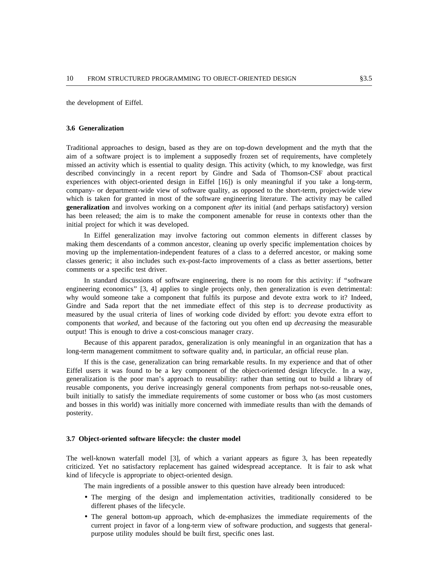the development of Eiffel.

#### **3 .6 Generalization**

Traditional approaches to design, based as they are on top-down development and the myth that the m issed an activity which is essential to quality design. This activity (which, to my knowledge, was first aim of a software project is to implement a supposedly frozen set of requirements, have completely l described convincingly in a recent report by Gindre and Sada of Thomson-CSF about practica e xperiences with object-oriented design in Eiffel [16]) is only meaningful if you take a long-term, w hich is taken for granted in most of the software engineering literature. The activity may be called company- or department-wide view of software quality, as opposed to the short-term, project-wide view **generalization** and involves working on a component *after* its initial (and perhaps satisfactory) version h as been released; the aim is to make the component amenable for reuse in contexts other than the initial project for which it was developed.

In Eiffel generalization may involve factoring out common elements in different classes by making them descendants of a common ancestor, cleaning up overly specific implementation choices by m oving up the implementation-independent features of a class to a deferred ancestor, or making some classes generic; it also includes such ex-post-facto improvements of a class as better assertions, better c omments or a specific test driver.

In standard discussions of software engineering, there is no room for this activity: if ''software engineering economics" [3, 4] applies to single projects only, then generalization is even detrimental: w hy would someone take a component that fulfils its purpose and devote extra work to it? Indeed, m easured by the usual criteria of lines of working code divided by effort: you devote extra effort to Gindre and Sada report that the net immediate effect of this step is to *decrease* productivity as e components that *worked*, and because of the factoring out you often end up *decreasing* the measurabl o utput! This is enough to drive a cost-conscious manager crazy.

Because of this apparent paradox, generalization is only meaningful in an organization that has a l ong-term management commitment to software quality and, in particular, an official reuse plan.

If this is the case, generalization can bring remarkable results. In my experience and that of other E iffel users it was found to be a key component of the object-oriented design lifecycle. In a way, r eusable components, you derive increasingly general components from perhaps not-so-reusable ones, generalization is the poor man's approach to reusability: rather than setting out to build a library of a nd bosses in this world) was initially more concerned with immediate results than with the demands of built initially to satisfy the immediate requirements of some customer or boss who (as most customers posterity.

#### **3 .7 Object-oriented software lifecycle: the cluster model**

The well-known waterfall model [3], of which a variant appears as figure 3, has been repeatedly c riticized. Yet no satisfactory replacement has gained widespread acceptance. It is fair to ask what kind of lifecycle is appropriate to object-oriented design.

The main ingredients of a possible answer to this question have already been introduced:

- The merging of the design and implementation activities, traditionally considered to be different phases of the lifecycle.
- The general bottom-up approach, which de-emphasizes the immediate requirements of the - current project in favor of a long-term view of software production, and suggests that general p urpose utility modules should be built first, specific ones last.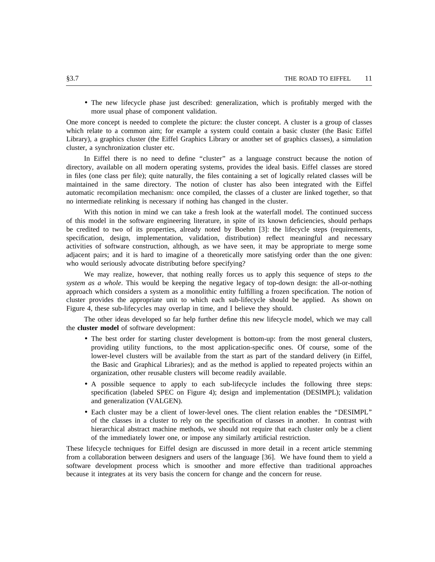• The new lifecycle phase just described: generalization, which is profitably merged with the more usual phase of component validation.

O ne more concept is needed to complete the picture: the cluster concept. A cluster is a group of classes which relate to a common aim; for example a system could contain a basic cluster (the Basic Eiffel L ibrary), a graphics cluster (the Eiffel Graphics Library or another set of graphics classes), a simulation cluster, a synchronization cluster etc.

In Eiffel there is no need to define "cluster" as a language construct because the notion of i n files (one class per file); quite naturally, the files containing a set of logically related classes will be directory, available on all modern operating systems, provides the ideal basis. Eiffel classes are stored maintained in the same directory. The notion of cluster has also been integrated with the Eiffel a utomatic recompilation mechanism: once compiled, the classes of a cluster are linked together, so that no intermediate relinking is necessary if nothing has changed in the cluster.

With this notion in mind we can take a fresh look at the waterfall model. The continued success of this model in the software engineering literature, in spite of its known deficiencies, should perhaps b e credited to two of its properties, already noted by Boehm [3]: the lifecycle steps (requirements, a ctivities of software construction, although, as we have seen, it may be appropriate to merge some specification, design, implementation, validation, distribution) reflect meaningful and necessary adjacent pairs; and it is hard to imagine of a theoretically more satisfying order than the one given: w ho would seriously advocate distributing before specifying?

We may realize, however, that nothing really forces us to apply this sequence of steps *to the s ystem as a whole*. This would be keeping the negative legacy of top-down design: the all-or-nothing approach which considers a system as a monolithic entity fulfilling a frozen specification. The notion of c luster provides the appropriate unit to which each sub-lifecycle should be applied. As shown on Figure 4, these sub-lifecycles may overlap in time, and I believe they should.

The other ideas developed so far help further define this new lifecycle model, which we may call the **cluster model** of software development:

- The best order for starting cluster development is bottom-up: from the most general clusters, l ower-level clusters will be available from the start as part of the standard delivery (in Eiffel, providing utility functions, to the most application-specific ones. Of course, some of the o rganization, other reusable clusters will become readily available. the Basic and Graphical Libraries); and as the method is applied to repeated projects within an
- A possible sequence to apply to each sub-lifecycle includes the following three steps: a nd generalization (VALGEN). specification (labeled SPEC on Figure 4); design and implementation (DESIMPL); validation
- Each cluster may be a client of lower-level ones. The client relation enables the ''DESIMPL'' h ierarchical abstract machine methods, we should not require that each cluster only be a client of the classes in a cluster to rely on the specification of classes in another. In contrast with of the immediately lower one, or impose any similarly artificial restriction.

T hese lifecycle techniques for Eiffel design are discussed in more detail in a recent article stemming from a collaboration between designers and users of the language [36]. We have found them to yield a s oftware development process which is smoother and more effective than traditional approaches because it integrates at its very basis the concern for change and the concern for reuse.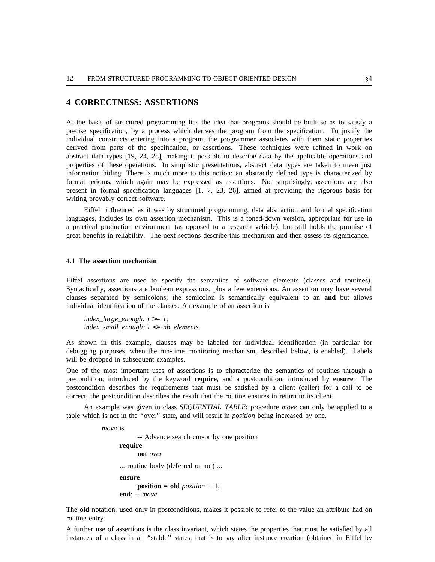# **4 CORRECTNESS: ASSERTIONS**

A t the basis of structured programming lies the idea that programs should be built so as to satisfy a precise specification, by a process which derives the program from the specification. To justify the i ndividual constructs entering into a program, the programmer associates with them static properties a bstract data types [19, 24, 25], making it possible to describe data by the applicable operations and derived from parts of the specification, or assertions. These techniques were refined in work on properties of these operations. In simplistic presentations, abstract data types are taken to mean just i nformation hiding. There is much more to this notion: an abstractly defined type is characterized by formal axioms, which again may be expressed as assertions. Not surprisingly, assertions are also p resent in formal specification languages [1, 7, 23, 26], aimed at providing the rigorous basis for writing provably correct software.

Eiffel, influenced as it was by structured programming, data abstraction and formal specification languages, includes its own assertion mechanism. This is a toned-down version, appropriate for use in a practical production environment (as opposed to a research vehicle), but still holds the promise of great benefits in reliability. The next sections describe this mechanism and then assess its significance.

### **4 .1 The assertion mechanism**

Eiffel assertions are used to specify the semantics of software elements (classes and routines). c lauses separated by semicolons; the semicolon is semantically equivalent to an **and** but allows Syntactically, assertions are boolean expressions, plus a few extensions. An assertion may have several individual identification of the clauses. An example of an assertion is

*index* large enough:  $i \geq 1$ ; *s index*\_*small*\_*enough: i* <*= nb*\_*element*

A s shown in this example, clauses may be labeled for individual identification (in particular for w ill be dropped in subsequent examples. debugging purposes, when the run-time monitoring mechanism, described below, is enabled). Labels

One of the most important uses of assertions is to characterize the semantics of routines through a precondition, introduced by the keyword **require**, and a postcondition, introduced by **ensure**. The p ostcondition describes the requirements that must be satisfied by a client (caller) for a call to be correct; the postcondition describes the result that the routine ensures in return to its client.

An example was given in class *SEQUENTIAL*\_*TABLE*: procedure *move* can only be applied to a table which is not in the ''over'' state, and will result in *position* being increased by one.

> *move* **is** -- Advance search cursor by one position **require not** *over* ... routine body (deferred or not) ... **ensure position = old** *position +* 1; **end**; -- *move*

T he **old** notation, used only in postconditions, makes it possible to refer to the value an attribute had on routine entry.

A further use of assertions is the class invariant, which states the properties that must be satisfied by all instances of a class in all "stable" states, that is to say after instance creation (obtained in Eiffel by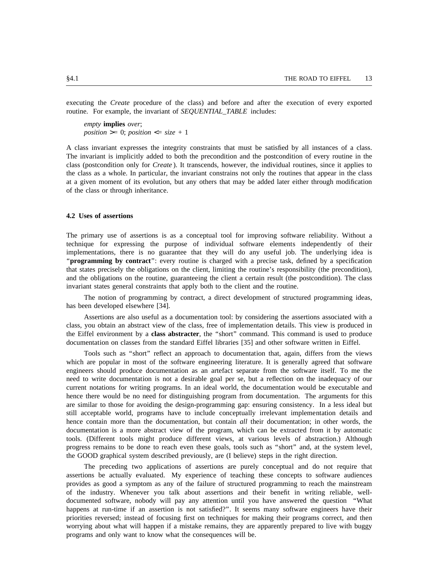executing the *Create* procedure of the class) and before and after the execution of every exported routine. For example, the invariant of *SEQUENTIAL*\_*TABLE* includes:

*empty* **implies** *over*;  $position \geq 0$ ;  $position \leq size + 1$ 

A class invariant expresses the integrity constraints that must be satisfied by all instances of a class. c lass (postcondition only for *Create* ). It transcends, however, the individual routines, since it applies to The invariant is implicitly added to both the precondition and the postcondition of every routine in the the class as a whole. In particular, the invariant constrains not only the routines that appear in the class a t a given moment of its evolution, but any others that may be added later either through modification of the class or through inheritance.

#### **4 .2 Uses of assertions**

The primary use of assertions is as a conceptual tool for improving software reliability. Without a r technique for expressing the purpose of individual software elements independently of thei i mplementations, there is no guarantee that they will do any useful job. The underlying idea is t hat states precisely the obligations on the client, limiting the routine's responsibility (the precondition), ''**programming by contract**'': every routine is charged with a precise task, defined by a specification i nvariant states general constraints that apply both to the client and the routine. and the obligations on the routine, guaranteeing the client a certain result (the postcondition). The class

, The notion of programming by contract, a direct development of structured programming ideas h as been developed elsewhere [34].

Assertions are also useful as a documentation tool: by considering the assertions associated with a t he Eiffel environment by a **class abstracter**, the ''short'' command. This command is used to produce class, you obtain an abstract view of the class, free of implementation details. This view is produced in documentation on classes from the standard Eiffel libraries [35] and other software written in Eiffel.

Tools such as ''short'' reflect an approach to documentation that, again, differs from the views e ngineers should produce documentation as an artefact separate from the software itself. To me the which are popular in most of the software engineering literature. It is generally agreed that software need to write documentation is not a desirable goal per se, but a reflection on the inadequacy of our c urrent notations for writing programs. In an ideal world, the documentation would be executable and hence there would be no need for distinguishing program from documentation. The arguments for this a re similar to those for avoiding the design-programming gap: ensuring consistency. In a less ideal but h ence contain more than the documentation, but contain *all* their documentation; in other words, the still acceptable world, programs have to include conceptually irrelevant implementation details and documentation is a more abstract view of the program, which can be extracted from it by automatic t ools. (Different tools might produce different views, at various levels of abstraction.) Although , progress remains to be done to reach even these goals, tools such as ''short'' and, at the system level t he GOOD graphical system described previously, are (I believe) steps in the right direction.

The preceding two applications of assertions are purely conceptual and do not require that a ssertions be actually evaluated. My experience of teaching these concepts to software audiences o f the industry. Whenever you talk about assertions and their benefit in writing reliable, wellprovides as good a symptom as any of the failure of structured programming to reach the mainstream documented software, nobody will pay any attention until you have answered the question "What happens at run-time if an assertion is not satisfied?". It seems many software engineers have their w orrying about what will happen if a mistake remains, they are apparently prepared to live with buggy priorities reversed; instead of focusing first on techniques for making their programs correct, and then programs and only want to know what the consequences will be.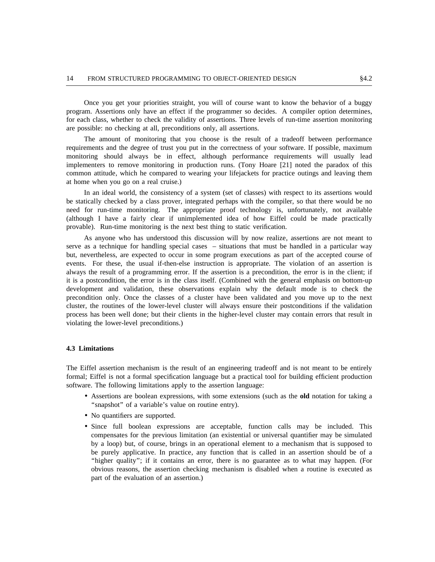p rogram. Assertions only have an effect if the programmer so decides. A compiler option determines, Once you get your priorities straight, you will of course want to know the behavior of a buggy a re possible: no checking at all, preconditions only, all assertions. for each class, whether to check the validity of assertions. Three levels of run-time assertion monitoring

The amount of monitoring that you choose is the result of a tradeoff between performance r equirements and the degree of trust you put in the correctness of your software. If possible, maximum monitoring should always be in effect, although performance requirements will usually lead i mplementers to remove monitoring in production runs. (Tony Hoare [21] noted the paradox of this a t home when you go on a real cruise.) common attitude, which he compared to wearing your lifejackets for practice outings and leaving them

In an ideal world, the consistency of a system (set of classes) with respect to its assertions would be statically checked by a class prover, integrated perhaps with the compiler, so that there would be no n eed for run-time monitoring. The appropriate proof technology is, unfortunately, not available p rovable). Run-time monitoring is the next best thing to static verification. (although I have a fairly clear if unimplemented idea of how Eiffel could be made practically

As anyone who has understood this discussion will by now realize, assertions are not meant to s erve as a technique for handling special cases – situations that must be handled in a particular way but, nevertheless, are expected to occur in some program executions as part of the accepted course of e vents. For these, the usual if-then-else instruction is appropriate. The violation of an assertion is always the result of a programming error. If the assertion is a precondition, the error is in the client; if i t is a postcondition, the error is in the class itself. (Combined with the general emphasis on bottom-up development and validation, these observations explain why the default mode is to check the p recondition only. Once the classes of a cluster have been validated and you move up to the next p rocess has been well done; but their clients in the higher-level cluster may contain errors that result in cluster, the routines of the lower-level cluster will always ensure their postconditions if the validation violating the lower-level preconditions.)

#### **4 .3 Limitations**

The Eiffel assertion mechanism is the result of an engineering tradeoff and is not meant to be entirely formal; Eiffel is not a formal specification language but a practical tool for building efficient production s oftware. The following limitations apply to the assertion language:

- Assertions are boolean expressions, with some extensions (such as the **old** notation for taking a "snapshot" of a variable's value on routine entry).
- No quantifiers are supported.
- Since full boolean expressions are acceptable, function calls may be included. This b y a loop) but, of course, brings in an operational element to a mechanism that is supposed to compensates for the previous limitation (an existential or universal quantifier may be simulated be purely applicative. In practice, any function that is called in an assertion should be of a ' 'higher quality''; if it contains an error, there is no guarantee as to what may happen. (For p art of the evaluation of an assertion.)obvious reasons, the assertion checking mechanism is disabled when a routine is executed as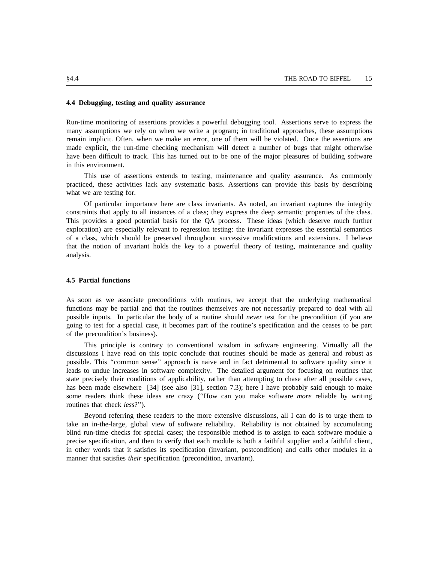#### **4.4 Debugging, testing and quality assurance**

Run-time monitoring of assertions provides a powerful debugging tool. Assertions serve to express the many assumptions we rely on when we write a program; in traditional approaches, these assumptions r emain implicit. Often, when we make an error, one of them will be violated. Once the assertions are made explicit, the run-time checking mechanism will detect a number of bugs that might otherwise h ave been difficult to track. This has turned out to be one of the major pleasures of building software in this environment.

This use of assertions extends to testing, maintenance and quality assurance. As commonly practiced, these activities lack any systematic basis. Assertions can provide this basis by describing w hat we are testing for.

Of particular importance here are class invariants. As noted, an invariant captures the integrity . constraints that apply to all instances of a class; they express the deep semantic properties of the class T his provides a good potential basis for the QA process. These ideas (which deserve much further o f a class, which should be preserved throughout successive modifications and extensions. I believe exploration) are especially relevant to regression testing: the invariant expresses the essential semantics a nalysis. that the notion of invariant holds the key to a powerful theory of testing, maintenance and quality

## **4.5 Partial functions**

As soon as we associate preconditions with routines, we accept that the underlying mathematical functions may be partial and that the routines themselves are not necessarily prepared to deal with all p ossible inputs. In particular the body of a routine should *never* test for the precondition (if you are going to test for a special case, it becomes part of the routine's specification and the ceases to be part o f the precondition's business).

This principle is contrary to conventional wisdom in software engineering. Virtually all the discussions I have read on this topic conclude that routines should be made as general and robust as p ossible. This ''common sense'' approach is naive and in fact detrimental to software quality since it leads to undue increases in software complexity. The detailed argument for focusing on routines that s tate precisely their conditions of applicability, rather than attempting to chase after all possible cases, s ome readers think these ideas are crazy (''How can you make software *more* reliable by writing has been made elsewhere [34] (see also [31], section 7.3); here I have probably said enough to make routines that check *less*?'').

Beyond referring these readers to the more extensive discussions, all I can do is to urge them to take an in-the-large, global view of software reliability. Reliability is not obtained by accumulating b lind run-time checks for special cases; the responsible method is to assign to each software module a precise specification, and then to verify that each module is both a faithful supplier and a faithful client, i n other words that it satisfies its specification (invariant, postcondition) and calls other modules in a manner that satisfies *their* specification (precondition, invariant).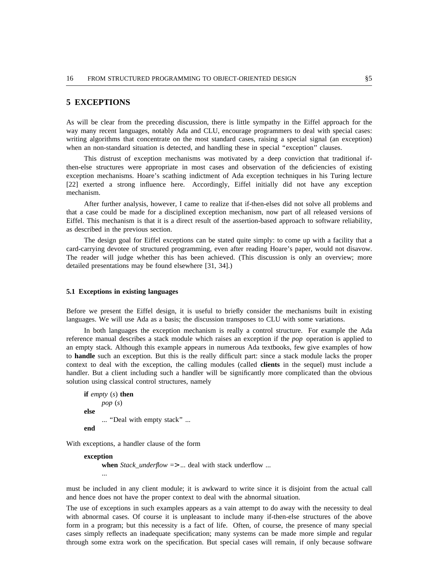## **5 EXCEPTIONS**

A s will be clear from the preceding discussion, there is little sympathy in the Eiffel approach for the : way many recent languages, notably Ada and CLU, encourage programmers to deal with special cases w riting algorithms that concentrate on the most standard cases, raising a special signal (an exception) when an non-standard situation is detected, and handling these in special "exception" clauses.

This distrust of exception mechanisms was motivated by a deep conviction that traditional ife xception mechanisms. Hoare's scathing indictment of Ada exception techniques in his Turing lecture then-else structures were appropriate in most cases and observation of the deficiencies of existing m echanism. [22] exerted a strong influence here. Accordingly, Eiffel initially did not have any exception

After further analysis, however, I came to realize that if-then-elses did not solve all problems and f that a case could be made for a disciplined exception mechanism, now part of all released versions o E iffel. This mechanism is that it is a direct result of the assertion-based approach to software reliability, as described in the previous section.

The design goal for Eiffel exceptions can be stated quite simply: to come up with a facility that a . card-carrying devotee of structured programming, even after reading Hoare's paper, would not disavow T he reader will judge whether this has been achieved. (This discussion is only an overview; more detailed presentations may be found elsewhere [31, 34].)

#### **5 .1 Exceptions in existing languages**

Before we present the Eiffel design, it is useful to briefly consider the mechanisms built in existing languages. We will use Ada as a basis; the discussion transposes to CLU with some variations.

In both languages the exception mechanism is really a control structure. For example the Ada a n empty stack. Although this example appears in numerous Ada textbooks, few give examples of how reference manual describes a stack module which raises an exception if the *pop* operation is applied to to **handle** such an exception. But this is the really difficult part: since a stack module lacks the proper c ontext to deal with the exception, the calling modules (called **clients** in the sequel) must include a handler. But a client including such a handler will be significantly more complicated than the obvious s olution using classical control structures, namely

```
if empty (s) then
      pop (s)
else
      ... ''Deal with empty stack'' ...
end
```
W ith exceptions, a handler clause of the form

```
exception
     when Stack_underflow => ... deal with stack underflow ...
     ...
```
m ust be included in any client module; it is awkward to write since it is disjoint from the actual call and hence does not have the proper context to deal with the abnormal situation.

T he use of exceptions in such examples appears as a vain attempt to do away with the necessity to deal f orm in a program; but this necessity is a fact of life. Often, of course, the presence of many special with abnormal cases. Of course it is unpleasant to include many if-then-else structures of the above t hrough some extra work on the specification. But special cases will remain, if only because softwarecases simply reflects an inadequate specification; many systems can be made more simple and regular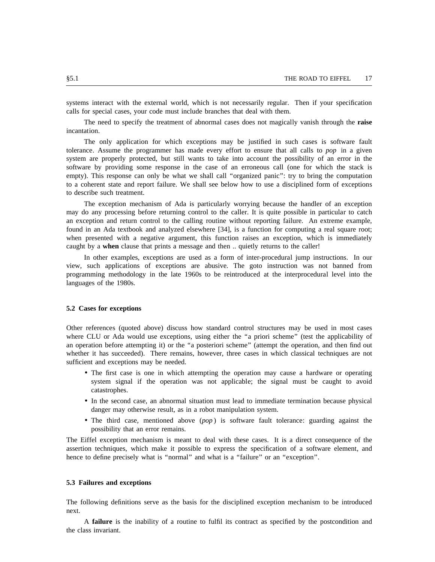systems interact with the external world, which is not necessarily regular. Then if your specification calls for special cases, your code must include branches that deal with them.

The need to specify the treatment of abnormal cases does not magically vanish through the **raise** incantation.

The only application for which exceptions may be justified in such cases is software fault s ystem are properly protected, but still wants to take into account the possibility of an error in the tolerance. Assume the programmer has made every effort to ensure that all calls to *pop* in a given s software by providing some response in the case of an erroneous call (one for which the stack i empty). This response can only be what we shall call "organized panic": try to bring the computation to a coherent state and report failure. We shall see below how to use a disciplined form of exceptions t o describe such treatment.

The exception mechanism of Ada is particularly worrying because the handler of an exception may do any processing before returning control to the caller. It is quite possible in particular to catch a n exception and return control to the calling routine without reporting failure. An extreme example, w hen presented with a negative argument, this function raises an exception, which is immediately found in an Ada textbook and analyzed elsewhere [34], is a function for computing a real square root; caught by a **when** clause that prints a message and then .. quietly returns to the caller!

In other examples, exceptions are used as a form of inter-procedural jump instructions. In our p rogramming methodology in the late 1960s to be reintroduced at the interprocedural level into the view, such applications of exceptions are abusive. The goto instruction was not banned from languages of the 1980s.

### **5 .2 Cases for exceptions**

Other references (quoted above) discuss how standard control structures may be used in most cases where CLU or Ada would use exceptions, using either the "a priori scheme" (test the applicability of a n operation before attempting it) or the ''a posteriori scheme'' (attempt the operation, and then find out whether it has succeeded). There remains, however, three cases in which classical techniques are not s ufficient and exceptions may be needed.

- The first case is one in which attempting the operation may cause a hardware or operating system signal if the operation was not applicable; the signal must be caught to avoid c atastrophes.
- In the second case, an abnormal situation must lead to immediate termination because physical danger may otherwise result, as in a robot manipulation system.
- The third case, mentioned above (*pop* ) is software fault tolerance: guarding against the possibility that an error remains.

T he Eiffel exception mechanism is meant to deal with these cases. It is a direct consequence of the hence to define precisely what is "normal" and what is a "failure" or an "exception". assertion techniques, which make it possible to express the specification of a software element, and

#### **5.3 Failures and exceptions**

T he following definitions serve as the basis for the disciplined exception mechanism to be introduced next.

A **failure** is the inability of a routine to fulfil its contract as specified by the postcondition and the class invariant.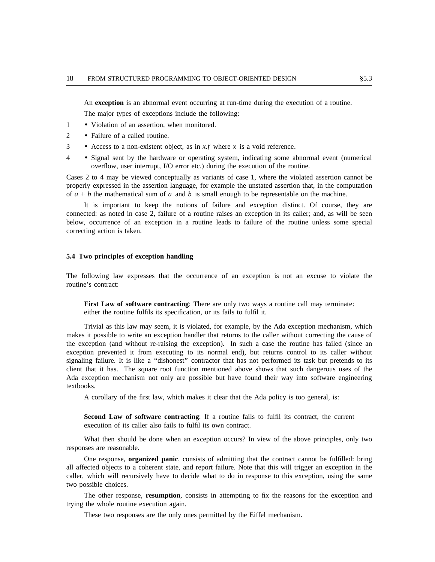An **exception** is an abnormal event occurring at run-time during the execution of a routine.

T he major types of exceptions include the following:

- 1 Violation of an assertion, when monitored.
- 2 Failure of a called routine.
- 3 Access to a non-existent object, as in *x.f* where *x* is a void reference.
- 4 Signal sent by the hardware or operating system, indicating some abnormal event (numerical overflow, user interrupt, I/O error etc.) during the execution of the routine.

C ases 2 to 4 may be viewed conceptually as variants of case 1, where the violated assertion cannot be of  $a + b$  the mathematical sum of  $a$  and  $b$  is small enough to be representable on the machine. properly expressed in the assertion language, for example the unstated assertion that, in the computation

It is important to keep the notions of failure and exception distinct. Of course, they are c onnected: as noted in case 2, failure of a routine raises an exception in its caller; and, as will be seen below, occurrence of an exception in a routine leads to failure of the routine unless some special c orrecting action is taken.

#### **g 5.4 Two principles of exception handlin**

T he following law expresses that the occurrence of an exception is not an excuse to violate the routine's contract:

**First Law of software contracting**: There are only two ways a routine call may terminate: either the routine fulfils its specification, or its fails to fulfil it.

T rivial as this law may seem, it is violated, for example, by the Ada exception mechanism, which makes it possible to write an exception handler that returns to the caller without correcting the cause of t he exception (and without re-raising the exception). In such a case the routine has failed (since an exception prevented it from executing to its normal end), but returns control to its caller without s ignaling failure. It is like a ''dishonest'' contractor that has not performed its task but pretends to its A da exception mechanism not only are possible but have found their way into software engineering client that it has. The square root function mentioned above shows that such dangerous uses of the textbooks.

A corollary of the first law, which makes it clear that the Ada policy is too general, is:

Second Law of software contracting: If a routine fails to fulfil its contract, the current e xecution of its caller also fails to fulfil its own contract.

What then should be done when an exception occurs? In view of the above principles, only two r esponses are reasonable.

One response, **organized panic**, consists of admitting that the contract cannot be fulfilled: bring all affected objects to a coherent state, and report failure. Note that this will trigger an exception in the c aller, which will recursively have to decide what to do in response to this exception, using the same two possible choices.

The other response, **resumption**, consists in attempting to fix the reasons for the exception and trying the whole routine execution again.

These two responses are the only ones permitted by the Eiffel mechanism.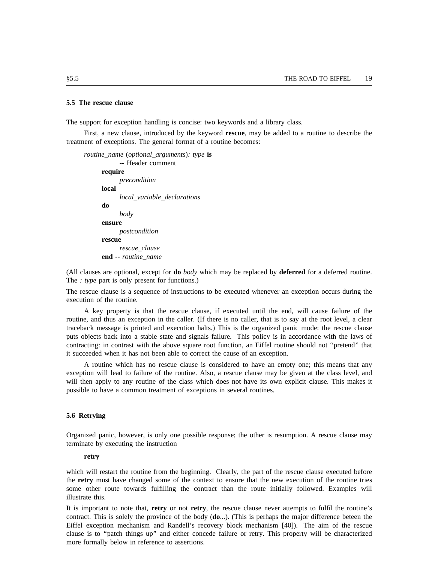#### **5.5 The rescue clause**

The support for exception handling is concise: two keywords and a library class.

First, a new clause, introduced by the keyword **rescue**, may be added to a routine to describe the t reatment of exceptions. The general format of a routine becomes:

*routine*\_*name* (*optional*\_*arguments*)*: type* **is** -- Header comment **require** *precondition* **local** *local*\_*variable*\_*declarations* **do** *body* **ensure** *postcondition* **rescue** *rescue*\_*clause e* **end** *-- routine*\_*nam*

( All clauses are optional, except for **do** *body* which may be replaced by **deferred** for a deferred routine. The *: type* part is only present for functions.)

T he rescue clause is a sequence of instructions to be executed whenever an exception occurs during the execution of the routine.

A key property is that the rescue clause, if executed until the end, will cause failure of the r routine, and thus an exception in the caller. (If there is no caller, that is to say at the root level, a clea t raceback message is printed and execution halts.) This is the organized panic mode: the rescue clause puts objects back into a stable state and signals failure. This policy is in accordance with the laws of c ontracting: in contrast with the above square root function, an Eiffel routine should not ''pretend'' that it succeeded when it has not been able to correct the cause of an exception.

A routine which has no rescue clause is considered to have an empty one; this means that any exception will lead to failure of the routine. Also, a rescue clause may be given at the class level, and w ill then apply to any routine of the class which does not have its own explicit clause. This makes it possible to have a common treatment of exceptions in several routines.

#### **5 .6 Retrying**

Organized panic, however, is only one possible response; the other is resumption. A rescue clause may terminate by executing the instruction

#### **retry**

which will restart the routine from the beginning. Clearly, the part of the rescue clause executed before the **retry** must have changed some of the context to ensure that the new execution of the routine tries s ome other route towards fulfilling the contract than the route initially followed. Examples will illustrate this.

I t is important to note that, **retry** or not **retry**, the rescue clause never attempts to fulfil the routine's E iffel exception mechanism and Randell's recovery block mechanism [40]). The aim of the rescue contract. This is solely the province of the body (**do**...). (This is perhaps the major difference beteen the m ore formally below in reference to assertions.clause is to ''patch things up'' and either concede failure or retry. This property will be characterized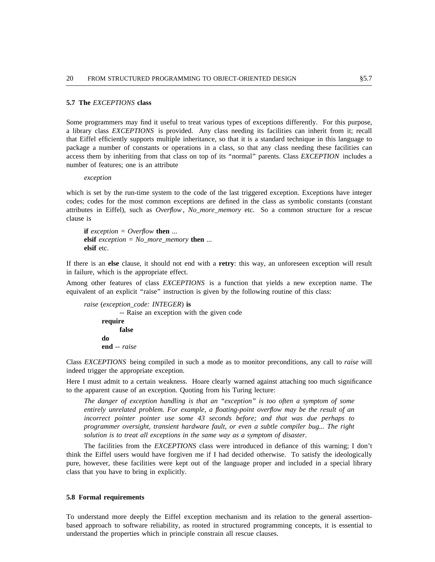#### **5.7 The** *EXCEPTIONS* **class**

S ome programmers may find it useful to treat various types of exceptions differently. For this purpose, t hat Eiffel efficiently supports multiple inheritance, so that it is a standard technique in this language to a library class *EXCEPTIONS* is provided. Any class needing its facilities can inherit from it; recall n package a number of constants or operations in a class, so that any class needing these facilities ca a ccess them by inheriting from that class on top of its ''normal'' parents. Class *EXCEPTION* includes a number of features; one is an attribute

*exception*

which is set by the run-time system to the code of the last triggered exception. Exceptions have integer codes; codes for the most common exceptions are defined in the class as symbolic constants (constant a ttributes in Eiffel), such as *Overflow* , *No*\_*more*\_*memory* etc. So a common structure for a rescue clause is

**if** *exception = Overflow* **then** ... . **elsif** *exception = No*\_*more*\_*memory* **then** .. **e lsif** etc.

If there is an **else** clause, it should not end with a **retry**: this way, an unforeseen exception will result in failure, which is the appropriate effect.

A mong other features of class *EXCEPTIONS* is a function that yields a new exception name. The equivalent of an explicit "raise" instruction is given by the following routine of this class:

*raise* (*exception*\_*code: INTEGER*) **is** -- Raise an exception with the given code **require false e nd** *-- raise* **do**

Class *EXCEPTIONS* being compiled in such a mode as to monitor preconditions, any call to *raise* will indeed trigger the appropriate exception.

H ere I must admit to a certain weakness. Hoare clearly warned against attaching too much significance to the apparent cause of an exception. Quoting from his Turing lecture:

*The danger of exception handling is that an ''exception'' is too often a symptom of some i ncorrect pointer pointer use some 43 seconds before; and that was due perhaps to entirely unrelated problem. For example, a floating-point overflow may be the result of an t programmer oversight, transient hardware fault, or even a subtle compiler bug... The righ s olution is to treat all exceptions in the same way as a symptom of disaster.*

The facilities from the *EXCEPTIONS* class were introduced in defiance of this warning; I don't t hink the Eiffel users would have forgiven me if I had decided otherwise. To satisfy the ideologically pure, however, these facilities were kept out of the language proper and included in a special library c lass that you have to bring in explicitly.

#### **5.8 Formal requirements**

T o understand more deeply the Eiffel exception mechanism and its relation to the general assertionu nderstand the properties which in principle constrain all rescue clauses.based approach to software reliability, as rooted in structured programming concepts, it is essential to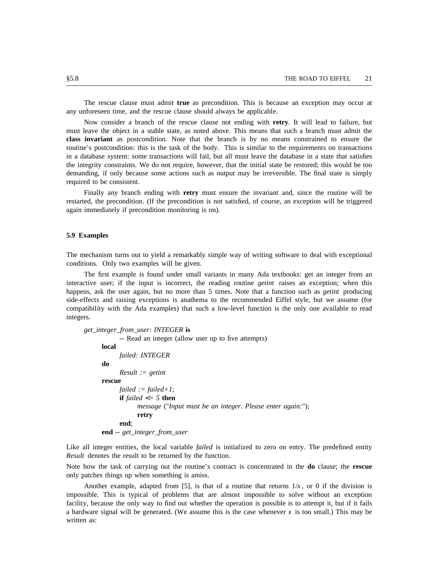The rescue clause must admit **true** as precondition. This is because an exception may occur at any unforeseen time, and the rescue clause should always be applicable.

Now consider a branch of the rescue clause not ending with **retry**. It will lead to failure, but **c lass invariant** as postcondition. Note that the branch is by no means constrained to ensure the must leave the object in a stable state, as noted above. This means that such a branch must admit the routine's postcondition: this is the task of the body. This is similar to the requirements on transactions i n a database system: some transactions will fail, but all must leave the database in a state that satisfies d emanding, if only because some actions such as output may be irreversible. The final state is simply the integrity constraints. We do not require, however, that the initial state be restored; this would be too required to be consistent.

Finally any branch ending with **retry** must ensure the invariant and, since the routine will be a gain immediately if precondition monitoring is on). restarted, the precondition. (If the precondition is not satisfied, of course, an exception will be triggered

#### **5.9 Examples**

T he mechanism turns out to yield a remarkably simple way of writing software to deal with exceptional conditions. Only two examples will be given.

The first example is found under small variants in many Ada textbooks: get an integer from an interactive user; if the input is incorrect, the reading routine *getint* raises an exception; when this h appens, ask the user again, but no more than 5 times. Note that a function such as *getint* producing side-effects and raising exceptions is anathema to the recommended Eiffel style, but we assume (for c ompatibility with the Ada examples) that such a low-level function is the only one available to read integers.

*get*\_*integer*\_*from*\_*user: INTEGER* **is**

```
-- Read an integer (allow user up to five attempts)
local
     failed: INTEGER
do
      Result := getint
rescue
      failed := failed+1;
      if failed <= 5 then
            message ("Input must be an integer. Please enter again:");
e
nd -- get_integer_from_user
      end;
            retry
```
Like all integer entities, the local variable *failed* is initialized to zero on entry. The predefined entity *Result* denotes the result to be returned by the function.

N ote how the task of carrying out the routine's contract is concentrated in the **do** clause; the **rescue** only patches things up when something is amiss.

Another example, adapted from [5], is that of a routine that returns  $1/x$ , or 0 if the division is f acility, because the only way to find out whether the operation is possible is to attempt it, but if it fails impossible. This is typical of problems that are almost impossible to solve without an exception w ritten as:a hardware signal will be generated. (We assume this is the case whenever *x* is too small.) This may be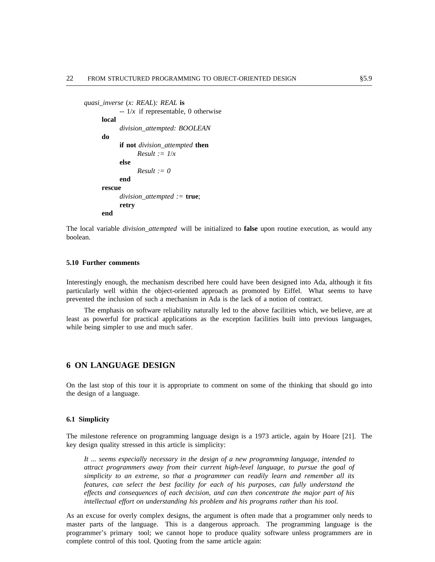```
quasi_inverse (x: REAL): REAL is
           -1/x if representable, 0 otherwise
     local
           division_attempted: BOOLEAN
     do
           if not division_attempted then
           else
                 Result := l/xResult := 0
     rescue
           end
           division_attempted := true;
     end
           retry
```
T he local variable *division*\_*attempted* will be initialized to **false** upon routine execution, as would any boolean.

#### **5 .10 Further comments**

Interestingly enough, the mechanism described here could have been designed into Ada, although it fits p revented the inclusion of such a mechanism in Ada is the lack of a notion of contract. particularly well within the object-oriented approach as promoted by Eiffel. What seems to have

The emphasis on software reliability naturally led to the above facilities which, we believe, are at l east as powerful for practical applications as the exception facilities built into previous languages, while being simpler to use and much safer.

# **6 ON LANGUAGE DESIGN**

On the last stop of this tour it is appropriate to comment on some of the thinking that should go into the design of a language.

#### **6 .1 Simplicity**

The milestone reference on programming language design is a 1973 article, again by Hoare [21]. The key design quality stressed in this article is simplicity:

*It ... seems especially necessary in the design of a new programming language, intended to f attract programmers away from their current high-level language, to pursue the goal o s implicity to an extreme, so that a programmer can readily learn and remember all its e ffects and consequences of each decision, and can then concentrate the major part of his features, can select the best facility for each of his purposes, can fully understand the intellectual effort on understanding his problem and his programs rather than his tool.*

A s an excuse for overly complex designs, the argument is often made that a programmer only needs to master parts of the language. This is a dangerous approach. The programming language is the p rogrammer's primary tool; we cannot hope to produce quality software unless programmers are in complete control of this tool. Quoting from the same article again: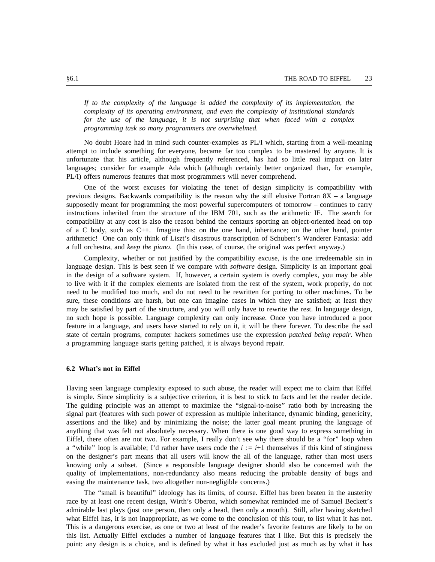*If to the complexity of the language is added the complexity of its implementation, the s complexity of its operating environment, and even the complexity of institutional standard f or the use of the language, it is not surprising that when faced with a complex programming task so many programmers are overwhelmed.*

N o doubt Hoare had in mind such counter-examples as PL/I which, starting from a well-meaning attempt to include something for everyone, became far too complex to be mastered by anyone. It is u nfortunate that his article, although frequently referenced, has had so little real impact on later languages; consider for example Ada which (although certainly better organized than, for example, P L/I) offers numerous features that most programmers will never comprehend.

One of the worst excuses for violating the tenet of design simplicity is compatibility with p revious designs. Backwards compatibility is the reason why the still elusive Fortran 8X – a language i nstructions inherited from the structure of the IBM 701, such as the arithmetic IF. The search for supposedly meant for programming the most powerful supercomputers of tomorrow – continues to carry o f a C body, such as C++. Imagine this: on the one hand, inheritance; on the other hand, pointer compatibility at any cost is also the reason behind the centaurs sporting an object-oriented head on top a full orchestra, and *keep the piano*. (In this case, of course, the original was perfect anyway.) arithmetic! One can only think of Liszt's disastrous transcription of Schubert's Wanderer Fantasia: add

Complexity, whether or not justified by the compatibility excuse, is the one irredeemable sin in l anguage design. This is best seen if we compare with *software* design. Simplicity is an important goal t o live with it if the complex elements are isolated from the rest of the system, work properly, do not in the design of a software system. If, however, a certain system is overly complex, you may be able s ure, these conditions are harsh, but one can imagine cases in which they are satisfied; at least they need to be modified too much, and do not need to be rewritten for porting to other machines. To be may be satisfied by part of the structure, and you will only have to rewrite the rest. In language design, n o such hope is possible. Language complexity can only increase. Once you have introduced a poor s tate of certain programs, computer hackers sometimes use the expression *patched being repair*. When feature in a language, and users have started to rely on it, it will be there forever. To describe the sad a programming language starts getting patched, it is always beyond repair.

#### **6 .2 What's not in Eiffel**

Having seen language complexity exposed to such abuse, the reader will expect me to claim that Eiffel . is simple. Since simplicity is a subjective criterion, it is best to stick to facts and let the reader decide T he guiding principle was an attempt to maximize the ''signal-to-noise'' ratio both by increasing the signal part (features with such power of expression as multiple inheritance, dynamic binding, genericity, a ssertions and the like) and by minimizing the noise; the latter goal meant pruning the language of Eiffel, there often are not two. For example, I really don't see why there should be a "for" loop when anything that was felt not absolutely necessary. When there is one good way to express something in a "while" loop is available; I'd rather have users code the  $i := i+1$  themselves if this kind of stinginess o n the designer's part means that all users will know the all of the language, rather than most users q uality of implementations, non-redundancy also means reducing the probable density of bugs and knowing only a subset. (Since a responsible language designer should also be concerned with the easing the maintenance task, two altogether non-negligible concerns.)

The ''small is beautiful'' ideology has its limits, of course. Eiffel has been beaten in the austerity race by at least one recent design, Wirth's Oberon, which somewhat reminded me of Samuel Beckett's a dmirable last plays (just one person, then only a head, then only a mouth). Still, after having sketched . what Eiffel has, it is not inappropriate, as we come to the conclusion of this tour, to list what it has not T his is a dangerous exercise, as one or two at least of the reader's favorite features are likely to be on e this list. Actually Eiffel excludes a number of language features that I like. But this is precisely th p oint: any design is a choice, and is defined by what it has excluded just as much as by what it has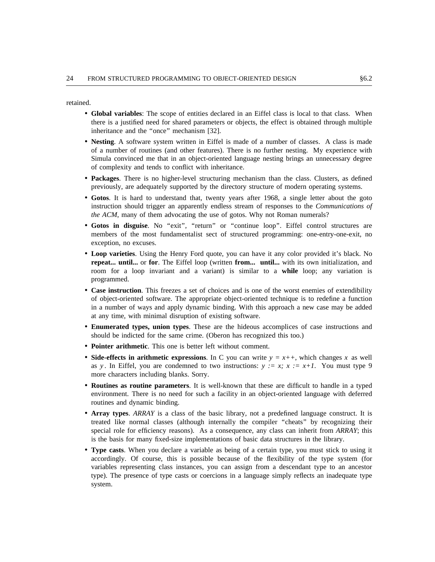retained.

- **Global variables**: The scope of entities declared in an Eiffel class is local to that class. When there is a justified need for shared parameters or objects, the effect is obtained through multiple i nheritance and the ''once'' mechanism [32].
- **Nesting**. A software system written in Eiffel is made of a number of classes. A class is made S imula convinced me that in an object-oriented language nesting brings an unnecessary degree of a number of routines (and other features). There is no further nesting. My experience with of complexity and tends to conflict with inheritance.
- **Packages**. There is no higher-level structuring mechanism than the class. Clusters, as defined previously, are adequately supported by the directory structure of modern operating systems.
- **Gotos**. It is hard to understand that, twenty years after 1968, a single letter about the goto *f* instruction should trigger an apparently endless stream of responses to the *Communications o t he ACM*, many of them advocating the use of gotos. Why not Roman numerals?
- **Gotos in disguise**. No ''exit'', ''return'' or ''continue loop''. Eiffel control structures are e xception, no excuses. members of the most fundamentalist sect of structured programming: one-entry-one-exit, no
- **Loop varieties**. Using the Henry Ford quote, you can have it any color provided it's black. No **repeat... until...** or **for**. The Eiffel loop (written **from... until...** with its own initialization, and r oom for a loop invariant and a variant) is similar to a **while** loop; any variation is programmed.
- **Case instruction**. This freezes a set of choices and is one of the worst enemies of extendibility n of object-oriented software. The appropriate object-oriented technique is to redefine a functio i n a number of ways and apply dynamic binding. With this approach a new case may be added at any time, with minimal disruption of existing software.
- **Enumerated types, union types**. These are the hideous accomplices of case instructions and should be indicted for the same crime. (Oberon has recognized this too.)
- **Pointer arithmetic**. This one is better left without comment.
- Side-effects in arithmetic expressions. In C you can write  $y = x++$ , which changes x as well m ore characters including blanks. Sorry. as *y*. In Eiffel, you are condemned to two instructions:  $y := x$ ;  $x := x+1$ . You must type 9
- **Routines as routine parameters**. It is well-known that these are difficult to handle in a typed environment. There is no need for such a facility in an object-oriented language with deferred r outines and dynamic binding.
- **Array types**. *ARRAY* is a class of the basic library, not a predefined language construct. It is r treated like normal classes (although internally the compiler ''cheats'' by recognizing thei s pecial role for efficiency reasons). As a consequence, any class can inherit from *ARRAY*; this is the basis for many fixed-size implementations of basic data structures in the library.
- **Type casts**. When you declare a variable as being of a certain type, you must stick to using it v ariables representing class instances, you can assign from a descendant type to an ancestor accordingly. Of course, this is possible because of the flexibility of the type system (for s ystem.type). The presence of type casts or coercions in a language simply reflects an inadequate type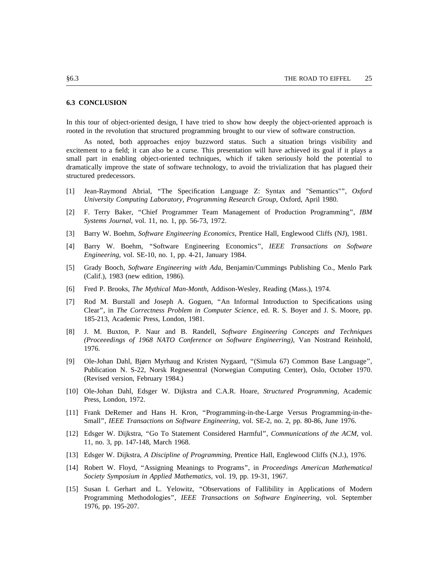#### **6.3 CONCLUSION**

In this tour of object-oriented design, I have tried to show how deeply the object-oriented approach is rooted in the revolution that structured programming brought to our view of software construction.

As noted, both approaches enjoy buzzword status. Such a situation brings visibility and excitement to a field; it can also be a curse. This presentation will have achieved its goal if it plays a s mall part in enabling object-oriented techniques, which if taken seriously hold the potential to dramatically improve the state of software technology, to avoid the trivialization that has plagued their s tructured predecessors.

- [1] Jean-Raymond Abrial, ''The Specification Language Z: Syntax and "Semantics"'', *Oxford University Computing Laboratory, Programming Research Group*, Oxford, April 1980.
- $\lceil 2 \rceil$ 2] F. Terry Baker, ''Chief Programmer Team Management of Production Programming'', *IBM Systems Journal*, vol. 11, no. 1, pp. 56-73, 1972.
- $\lceil 3 \rceil$ 3] Barry W. Boehm, *Software Engineering Economics*, Prentice Hall, Englewood Cliffs (NJ), 1981.
- [4] Barry W. Boehm, ''Software Engineering Economics'', *IEEE Transactions on Software Engineering*, vol. SE-10, no. 1, pp. 4-21, January 1984.
- [5] Grady Booch, *Software Engineering with Ada*, Benjamin/Cummings Publishing Co., Menlo Park (Calif.), 1983 (new edition, 1986).
- [6] Fred P. Brooks, *The Mythical Man-Month*, Addison-Wesley, Reading (Mass.), 1974.
- [7] Rod M. Burstall and Joseph A. Goguen, "An Informal Introduction to Specifications using Clear'', in *The Correctness Problem in Computer Science*, ed. R. S. Boyer and J. S. Moore, pp. 185-213, Academic Press, London, 1981.
- [8] 8] J. M. Buxton, P. Naur and B. Randell, *Software Engineering Concepts and Techniques* , *(Proceeedings of 1968 NATO Conference on Software Engineering)*, Van Nostrand Reinhold 1 976.
- [9] Ole-Johan Dahl, Bjørn Myrhaug and Kristen Nygaard, "(Simula 67) Common Base Language", . Publication N. S-22, Norsk Regnesentral (Norwegian Computing Center), Oslo, October 1970 ( Revised version, February 1984.)
- [10] Ole-Johan Dahl, Edsger W. Dijkstra and C.A.R. Hoare, *Structured Programming*, Academic Press, London, 1972.
- [ 11] Frank DeRemer and Hans H. Kron, ''Programming-in-the-Large Versus Programming-in-the- Small'', *IEEE Transactions on Software Engineering*, vol. SE-2, no. 2, pp. 80-86, June 1976.
- [ 12] Edsger W. Dijkstra, ''Go To Statement Considered Harmful'', *Communications of the ACM*, vol. 11, no. 3, pp. 147-148, March 1968.
- [ 13] Edsger W. Dijkstra, *A Discipline of Programming*, Prentice Hall, Englewood Cliffs (N.J.), 1976.
- [14] Robert W. Floyd, ''Assigning Meanings to Programs'', in *Proceedings American Mathematical Society Symposium in Applied Mathematics*, vol. 19, pp. 19-31, 1967.
- [15] Susan I. Gerhart and L. Yelowitz, ''Observations of Fallibility in Applications of Modern Programming Methodologies'', *IEEE Transactions on Software Engineering*, vol. September 1976, pp. 195-207.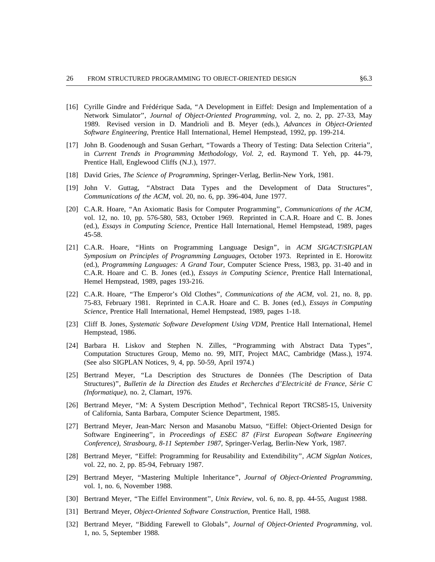- [16] Cyrille Gindre and Frédérique Sada, "A Development in Eiffel: Design and Implementation of a Network Simulator'', *Journal of Object-Oriented Programming*, vol. 2, no. 2, pp. 27-33, May *d* 1989. Revised version in D. Mandrioli and B. Meyer (eds.), *Advances in Object-Oriente S oftware Engineering*, Prentice Hall International, Hemel Hempstead, 1992, pp. 199-214.
- [17] John B. Goodenough and Susan Gerhart, ''Towards a Theory of Testing: Data Selection Criteria'', in *Current Trends in Programming Methodology, Vol. 2*, ed. Raymond T. Yeh, pp. 44-79, Prentice Hall, Englewood Cliffs (N.J.), 1977.
- [ 18] David Gries, *The Science of Programming*, Springer-Verlag, Berlin-New York, 1981.
- [19] John V. Guttag, ''Abstract Data Types and the Development of Data Structures'', *Communications of the ACM*, vol. 20, no. 6, pp. 396-404, June 1977.
- [20] C.A.R. Hoare, ''An Axiomatic Basis for Computer Programming'', *Communications of the ACM*, vol. 12, no. 10, pp. 576-580, 583, October 1969. Reprinted in C.A.R. Hoare and C. B. Jones (ed.), *Essays in Computing Science*, Prentice Hall International, Hemel Hempstead, 1989, pages 4 5-58.
- [21] C.A.R. Hoare, ''Hints on Programming Language Design'', in *ACM SIGACT*/*SIGPLAN* Symposium on Principles of Programming Languages, October 1973. Reprinted in E. Horowitz ( ed.), *Programming Languages: A Grand Tour*, Computer Science Press, 1983, pp. 31-40 and in , C.A.R. Hoare and C. B. Jones (ed.), *Essays in Computing Science*, Prentice Hall International H emel Hempstead, 1989, pages 193-216.
- [22] C.A.R. Hoare, ''The Emperor's Old Clothes'', *Communications of the ACM*, vol. 21, no. 8, pp. *S cience*, Prentice Hall International, Hemel Hempstead, 1989, pages 1-18. 75-83, February 1981. Reprinted in C.A.R. Hoare and C. B. Jones (ed.), *Essays in Computing*
- [23] Cliff B. Jones, *Systematic Software Development Using VDM*, Prentice Hall International, Hemel Hempstead, 1986.
- [24] Barbara H. Liskov and Stephen N. Zilles, "Programming with Abstract Data Types", . Computation Structures Group, Memo no. 99, MIT, Project MAC, Cambridge (Mass.), 1974 ( See also SIGPLAN Notices, 9, 4, pp. 50-59, April 1974.)
- [25] Bertrand Meyer, "La Description des Structures de Données (The Description of Data Structures)'', *Bulletin de la Direction des Etudes et Recherches d'Electricite*´ *de France, Se*´*rie C (Informatique)*, no. 2, Clamart, 1976.
- [26] Bertrand Meyer, "M: A System Description Method", Technical Report TRCS85-15, University of California, Santa Barbara, Computer Science Department, 1985.
- [ 27] Bertrand Meyer, Jean-Marc Nerson and Masanobu Matsuo, ''Eiffel: Object-Oriented Design for *C onference), Strasbourg, 8-11 September 1987*, Springer-Verlag, Berlin-New York, 1987. Software Engineering'', in *Proceedings of ESEC 87 (First European Software Engineering*
- [28] Bertrand Meyer, ''Eiffel: Programming for Reusability and Extendibility'', *ACM Sigplan Notices*, vol. 22, no. 2, pp. 85-94, February 1987.
- [29] Bertrand Meyer, ''Mastering Multiple Inheritance'', *Journal of Object-Oriented Programming*, vol. 1, no. 6, November 1988.
- [ 30] Bertrand Meyer, ''The Eiffel Environment'', *Unix Review*, vol. 6, no. 8, pp. 44-55, August 1988.
- [31] Bertrand Meyer, *Object-Oriented Software Construction*, Prentice Hall, 1988.
- [32] Bertrand Meyer, "Bidding Farewell to Globals", *Journal of Object-Oriented Programming*, vol. 1, no. 5, September 1988.